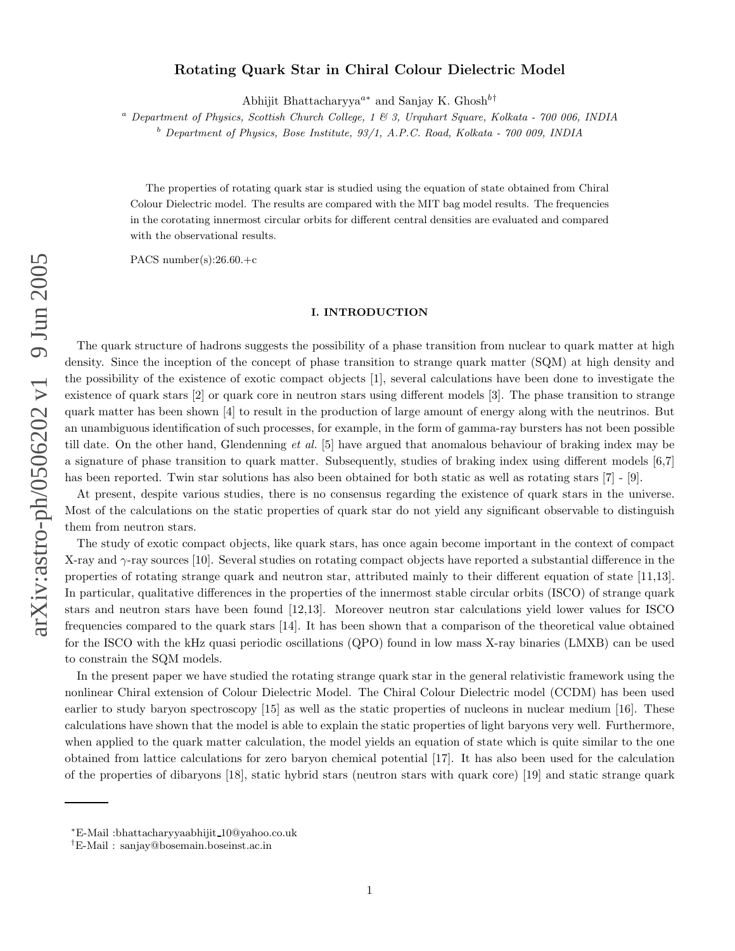# Rotating Quark Star in Chiral Colour Dielectric Model

Abhijit Bhattacharyya<sup>a\*</sup> and Sanjay K. Ghosh<sup>b†</sup>

 $a$  Department of Physics, Scottish Church College, 1 & 3, Urquhart Square, Kolkata - 700 006, INDIA

 $<sup>b</sup>$  Department of Physics, Bose Institute, 93/1, A.P.C. Road, Kolkata - 700 009, INDIA</sup>

The properties of rotating quark star is studied using the equation of state obtained from Chiral Colour Dielectric model. The results are compared with the MIT bag model results. The frequencies in the corotating innermost circular orbits for different central densities are evaluated and compared with the observational results.

PACS number(s): $26.60.+c$ 

### I. INTRODUCTION

The quark structure of hadrons suggests the possibility of a phase transition from nuclear to quark matter at high density. Since the inception of the concept of phase transition to strange quark matter (SQM) at high density and the possibility of the existence of exotic compact objects [1], several calculations have been done to investigate the existence of quark stars [2] or quark core in neutron stars using different models [3]. The phase transition to strange quark matter has been shown [4] to result in the production of large amount of energy along with the neutrinos. But an unambiguous identification of such processes, for example, in the form of gamma-ray bursters has not been possible till date. On the other hand, Glendenning et al. [5] have argued that anomalous behaviour of braking index may be a signature of phase transition to quark matter. Subsequently, studies of braking index using different models [6,7] has been reported. Twin star solutions has also been obtained for both static as well as rotating stars [7] - [9].

At present, despite various studies, there is no consensus regarding the existence of quark stars in the universe. Most of the calculations on the static properties of quark star do not yield any significant observable to distinguish them from neutron stars.

The study of exotic compact objects, like quark stars, has once again become important in the context of compact X-ray and  $\gamma$ -ray sources [10]. Several studies on rotating compact objects have reported a substantial difference in the properties of rotating strange quark and neutron star, attributed mainly to their different equation of state [11,13]. In particular, qualitative differences in the properties of the innermost stable circular orbits (ISCO) of strange quar k stars and neutron stars have been found [12,13]. Moreover neutron star calculations yield lower values for ISCO frequencies compared to the quark stars [14]. It has been shown that a comparison of the theoretical value obtained for the ISCO with the kHz quasi periodic oscillations (QPO) found in low mass X-ray binaries (LMXB) can be used to constrain the SQM models.

In the present paper we have studied the rotating strange quark star in the general relativistic framework using the nonlinear Chiral extension of Colour Dielectric Model. The Chiral Colour Dielectric model (CCDM) has been used earlier to study baryon spectroscopy [15] as well as the static properties of nucleons in nuclear medium [16]. These calculations have shown that the model is able to explain the static properties of light baryons very well. Furthermore, when applied to the quark matter calculation, the model yields an equation of state which is quite similar to the one obtained from lattice calculations for zero baryon chemical potential [17]. It has also been used for the calculation of the properties of dibaryons [18], static hybrid stars (neutron stars with quark core) [19] and static strange quark

<sup>∗</sup>E-Mail :bhattacharyyaabhijit 10@yahoo.co.uk

<sup>†</sup>E-Mail : sanjay@bosemain.boseinst.ac.in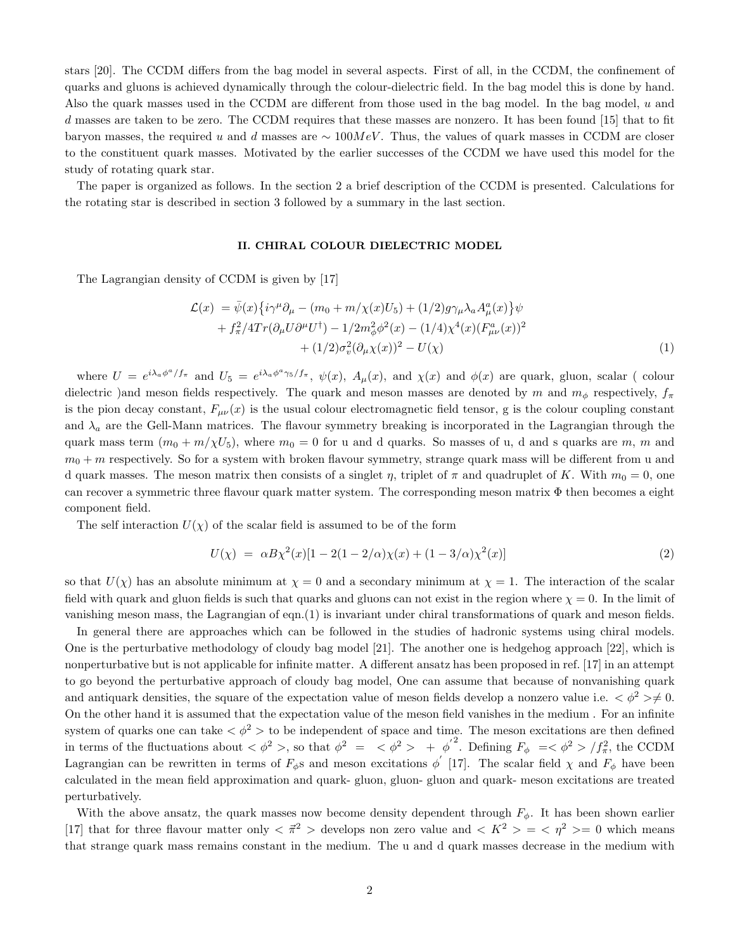stars [20]. The CCDM differs from the bag model in several aspects. First of all, in the CCDM, the confinement of quarks and gluons is achieved dynamically through the colour-dielectric field. In the bag model this is done by hand. Also the quark masses used in the CCDM are different from those used in the bag model. In the bag model, u and d masses are taken to be zero. The CCDM requires that these masses are nonzero. It has been found [15] that to fit baryon masses, the required u and d masses are  $\sim 100MeV$ . Thus, the values of quark masses in CCDM are closer to the constituent quark masses. Motivated by the earlier successes of the CCDM we have used this model for the study of rotating quark star.

The paper is organized as follows. In the section 2 a brief description of the CCDM is presented. Calculations for the rotating star is described in section 3 followed by a summary in the last section.

## II. CHIRAL COLOUR DIELECTRIC MODEL

The Lagrangian density of CCDM is given by [17]

$$
\mathcal{L}(x) = \bar{\psi}(x)\{i\gamma^{\mu}\partial_{\mu} - (m_0 + m/\chi(x)U_5) + (1/2)g\gamma_{\mu}\lambda_a A_{\mu}^a(x)\}\psi \n+ f_{\pi}^2/4Tr(\partial_{\mu}U\partial^{\mu}U^{\dagger}) - 1/2m_{\phi}^2\phi^2(x) - (1/4)\chi^4(x)(F_{\mu\nu}^a(x))^2 \n+ (1/2)\sigma_v^2(\partial_{\mu}\chi(x))^2 - U(\chi)
$$
\n(1)

where  $U = e^{i\lambda_a\phi^a/f_{\pi}}$  and  $U_5 = e^{i\lambda_a\phi^a\gamma_5/f_{\pi}}, \ \psi(x), \ A_\mu(x), \text{ and } \chi(x)$  and  $\phi(x)$  are quark, gluon, scalar (colour dielectric )and meson fields respectively. The quark and meson masses are denoted by m and  $m_{\phi}$  respectively,  $f_{\pi}$ is the pion decay constant,  $F_{\mu\nu}(x)$  is the usual colour electromagnetic field tensor, g is the colour coupling constant and  $\lambda_a$  are the Gell-Mann matrices. The flavour symmetry breaking is incorporated in the Lagrangian through the quark mass term  $(m_0 + m/\chi U_5)$ , where  $m_0 = 0$  for u and d quarks. So masses of u, d and s quarks are m, m and  $m_0 + m$  respectively. So for a system with broken flavour symmetry, strange quark mass will be different from u and d quark masses. The meson matrix then consists of a singlet  $\eta$ , triplet of  $\pi$  and quadruplet of K. With  $m_0 = 0$ , one can recover a symmetric three flavour quark matter system. The corresponding meson matrix  $\Phi$  then becomes a eight component field.

The self interaction  $U(\chi)$  of the scalar field is assumed to be of the form

$$
U(\chi) = \alpha B \chi^2(x) [1 - 2(1 - 2/\alpha)\chi(x) + (1 - 3/\alpha)\chi^2(x)] \tag{2}
$$

so that  $U(\chi)$  has an absolute minimum at  $\chi = 0$  and a secondary minimum at  $\chi = 1$ . The interaction of the scalar field with quark and gluon fields is such that quarks and gluons can not exist in the region where  $\chi = 0$ . In the limit of vanishing meson mass, the Lagrangian of eqn.(1) is invariant under chiral transformations of quark and meson fields.

In general there are approaches which can be followed in the studies of hadronic systems using chiral models. One is the perturbative methodology of cloudy bag model [21]. The another one is hedgehog approach [22], which is nonperturbative but is not applicable for infinite matter. A different ansatz has been proposed in ref. [17] in an attempt to go beyond the perturbative approach of cloudy bag model, One can assume that because of nonvanishing quark and antiquark densities, the square of the expectation value of meson fields develop a nonzero value i.e.  $\langle \phi^2 \rangle \neq 0$ . On the other hand it is assumed that the expectation value of the meson field vanishes in the medium . For an infinite system of quarks one can take  $\langle \phi^2 \rangle$  to be independent of space and time. The meson excitations are then defined in terms of the fluctuations about  $\langle \phi^2 \rangle$ , so that  $\phi^2 = \langle \phi^2 \rangle + {\phi'}^2$ . Defining  $F_{\phi} = \langle \phi^2 \rangle / f_{\pi}^2$ , the CCDM Lagrangian can be rewritten in terms of  $F_{\phi}$ s and meson excitations  $\phi'$  [17]. The scalar field  $\chi$  and  $F_{\phi}$  have been calculated in the mean field approximation and quark- gluon, gluon- gluon and quark- meson excitations are treated perturbatively.

With the above ansatz, the quark masses now become density dependent through  $F_{\phi}$ . It has been shown earlier [17] that for three flavour matter only  $\langle \vec{\pi}^2 \rangle$  develops non zero value and  $\langle K^2 \rangle = \langle \eta^2 \rangle = 0$  which means that strange quark mass remains constant in the medium. The u and d quark masses decrease in the medium with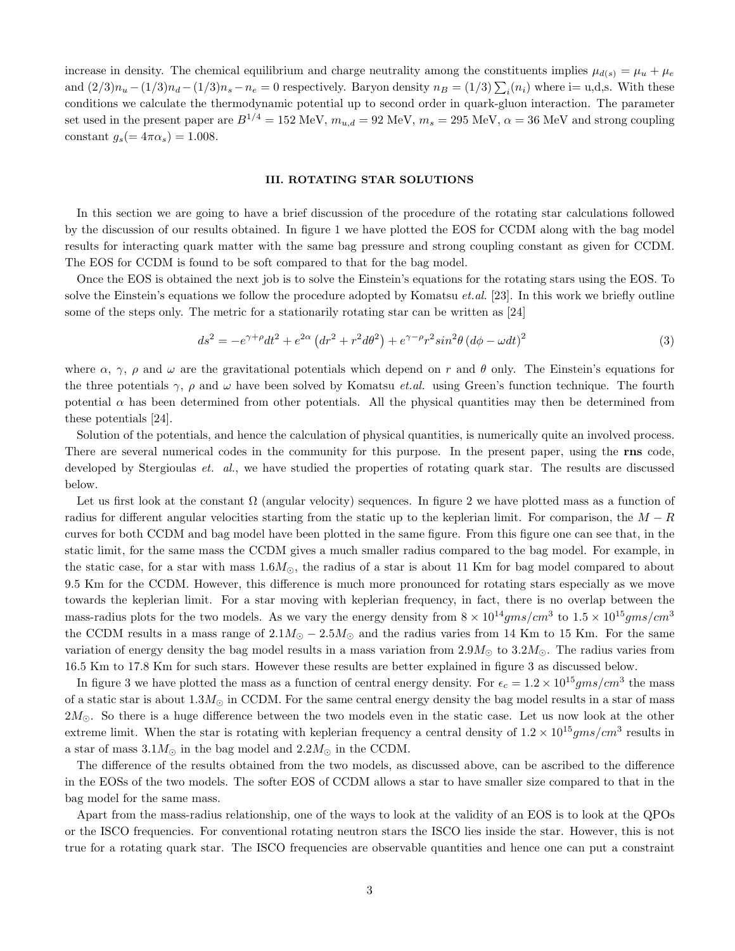increase in density. The chemical equilibrium and charge neutrality among the constituents implies  $\mu_{d(s)} = \mu_u + \mu_e$ and  $(2/3)n_u - (1/3)n_d - (1/3)n_s - n_e = 0$  respectively. Baryon density  $n_B = (1/3) \sum_i (n_i)$  where i= u,d,s. With these conditions we calculate the thermodynamic potential up to second order in quark-gluon interaction. The parameter set used in the present paper are  $B^{1/4} = 152 \text{ MeV}$ ,  $m_{u,d} = 92 \text{ MeV}$ ,  $m_s = 295 \text{ MeV}$ ,  $\alpha = 36 \text{ MeV}$  and strong coupling constant  $g_s(=4\pi\alpha_s)=1.008$ .

# III. ROTATING STAR SOLUTIONS

In this section we are going to have a brief discussion of the procedure of the rotating star calculations followed by the discussion of our results obtained. In figure 1 we have plotted the EOS for CCDM along with the bag model results for interacting quark matter with the same bag pressure and strong coupling constant as given for CCDM. The EOS for CCDM is found to be soft compared to that for the bag model.

Once the EOS is obtained the next job is to solve the Einstein's equations for the rotating stars using the EOS. To solve the Einstein's equations we follow the procedure adopted by Komatsu *et.al.* [23]. In this work we briefly outline some of the steps only. The metric for a stationarily rotating star can be written as [24]

$$
ds^{2} = -e^{\gamma + \rho}dt^{2} + e^{2\alpha} \left(dr^{2} + r^{2}d\theta^{2}\right) + e^{\gamma - \rho}r^{2}\sin^{2}\theta \left(d\phi - \omega dt\right)^{2}
$$
\n(3)

where  $\alpha$ ,  $\gamma$ ,  $\rho$  and  $\omega$  are the gravitational potentials which depend on r and  $\theta$  only. The Einstein's equations for the three potentials  $\gamma$ ,  $\rho$  and  $\omega$  have been solved by Komatsu *et.al.* using Green's function technique. The fourth potential  $\alpha$  has been determined from other potentials. All the physical quantities may then be determined from these potentials [24].

Solution of the potentials, and hence the calculation of physical quantities, is numerically quite an involved process. There are several numerical codes in the community for this purpose. In the present paper, using the rns code, developed by Stergioulas *et. al.*, we have studied the properties of rotating quark star. The results are discussed below.

Let us first look at the constant  $\Omega$  (angular velocity) sequences. In figure 2 we have plotted mass as a function of radius for different angular velocities starting from the static up to the keplerian limit. For comparison, the  $M - R$ curves for both CCDM and bag model have been plotted in the same figure. From this figure one can see that, in the static limit, for the same mass the CCDM gives a much smaller radius compared to the bag model. For example, in the static case, for a star with mass  $1.6M_{\odot}$ , the radius of a star is about 11 Km for bag model compared to about 9.5 Km for the CCDM. However, this difference is much more pronounced for rotating stars especially as we move towards the keplerian limit. For a star moving with keplerian frequency, in fact, there is no overlap between the mass-radius plots for the two models. As we vary the energy density from  $8 \times 10^{14}gms/cm^3$  to  $1.5 \times 10^{15}gms/cm^3$ the CCDM results in a mass range of  $2.1M_{\odot} - 2.5M_{\odot}$  and the radius varies from 14 Km to 15 Km. For the same variation of energy density the bag model results in a mass variation from  $2.9M_{\odot}$  to  $3.2M_{\odot}$ . The radius varies from 16.5 Km to 17.8 Km for such stars. However these results are better explained in figure 3 as discussed below.

In figure 3 we have plotted the mass as a function of central energy density. For  $\epsilon_c = 1.2 \times 10^{15} gms/cm^3$  the mass of a static star is about  $1.3M_{\odot}$  in CCDM. For the same central energy density the bag model results in a star of mass  $2M_{\odot}$ . So there is a huge difference between the two models even in the static case. Let us now look at the other extreme limit. When the star is rotating with keplerian frequency a central density of  $1.2 \times 10^{15}gms/cm^3$  results in a star of mass  $3.1M_{\odot}$  in the bag model and  $2.2M_{\odot}$  in the CCDM.

The difference of the results obtained from the two models, as discussed above, can be ascribed to the difference in the EOSs of the two models. The softer EOS of CCDM allows a star to have smaller size compared to that in the bag model for the same mass.

Apart from the mass-radius relationship, one of the ways to look at the validity of an EOS is to look at the QPOs or the ISCO frequencies. For conventional rotating neutron stars the ISCO lies inside the star. However, this is not true for a rotating quark star. The ISCO frequencies are observable quantities and hence one can put a constraint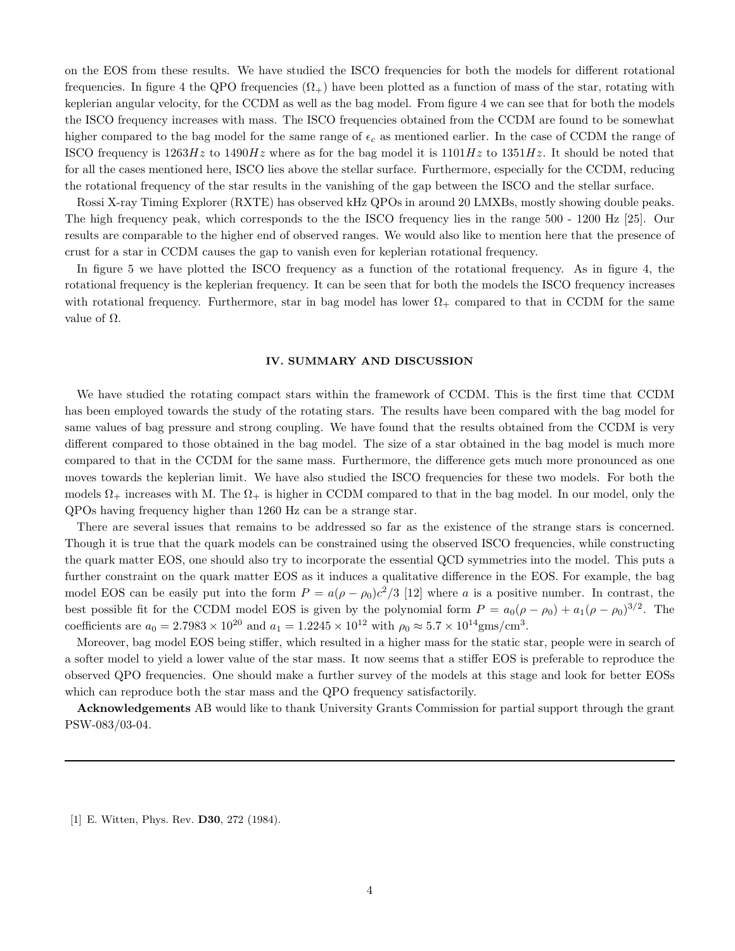on the EOS from these results. We have studied the ISCO frequencies for both the models for different rotational frequencies. In figure 4 the QPO frequencies  $(\Omega_+)$  have been plotted as a function of mass of the star, rotating with keplerian angular velocity, for the CCDM as well as the bag model. From figure 4 we can see that for both the models the ISCO frequency increases with mass. The ISCO frequencies obtained from the CCDM are found to be somewhat higher compared to the bag model for the same range of  $\epsilon_c$  as mentioned earlier. In the case of CCDM the range of ISCO frequency is  $1263Hz$  to  $1490Hz$  where as for the bag model it is  $1101Hz$  to  $1351Hz$ . It should be noted that for all the cases mentioned here, ISCO lies above the stellar surface. Furthermore, especially for the CCDM, reducing the rotational frequency of the star results in the vanishing of the gap between the ISCO and the stellar surface.

Rossi X-ray Timing Explorer (RXTE) has observed kHz QPOs in around 20 LMXBs, mostly showing double peaks. The high frequency peak, which corresponds to the the ISCO frequency lies in the range 500 - 1200 Hz [25]. Our results are comparable to the higher end of observed ranges. We would also like to mention here that the presence of crust for a star in CCDM causes the gap to vanish even for keplerian rotational frequency.

In figure 5 we have plotted the ISCO frequency as a function of the rotational frequency. As in figure 4, the rotational frequency is the keplerian frequency. It can be seen that for both the models the ISCO frequency increases with rotational frequency. Furthermore, star in bag model has lower  $\Omega_{+}$  compared to that in CCDM for the same value of  $\Omega$ .

#### IV. SUMMARY AND DISCUSSION

We have studied the rotating compact stars within the framework of CCDM. This is the first time that CCDM has been employed towards the study of the rotating stars. The results have been compared with the bag model for same values of bag pressure and strong coupling. We have found that the results obtained from the CCDM is very different compared to those obtained in the bag model. The size of a star obtained in the bag model is much more compared to that in the CCDM for the same mass. Furthermore, the difference gets much more pronounced as one moves towards the keplerian limit. We have also studied the ISCO frequencies for these two models. For both the models  $\Omega_+$  increases with M. The  $\Omega_+$  is higher in CCDM compared to that in the bag model. In our model, only the QPOs having frequency higher than 1260 Hz can be a strange star.

There are several issues that remains to be addressed so far as the existence of the strange stars is concerned. Though it is true that the quark models can be constrained using the observed ISCO frequencies, while constructing the quark matter EOS, one should also try to incorporate the essential QCD symmetries into the model. This puts a further constraint on the quark matter EOS as it induces a qualitative difference in the EOS. For example, the bag model EOS can be easily put into the form  $P = a(\rho - \rho_0)c^2/3$  [12] where a is a positive number. In contrast, the best possible fit for the CCDM model EOS is given by the polynomial form  $P = a_0(\rho - \rho_0) + a_1(\rho - \rho_0)^{3/2}$ . The coefficients are  $a_0 = 2.7983 \times 10^{20}$  and  $a_1 = 1.2245 \times 10^{12}$  with  $\rho_0 \approx 5.7 \times 10^{14}$ gms/cm<sup>3</sup>.

Moreover, bag model EOS being stiffer, which resulted in a higher mass for the static star, people were in search of a softer model to yield a lower value of the star mass. It now seems that a stiffer EOS is preferable to reproduce the observed QPO frequencies. One should make a further survey of the models at this stage and look for better EOSs which can reproduce both the star mass and the QPO frequency satisfactorily.

Acknowledgements AB would like to thank University Grants Commission for partial support through the grant PSW-083/03-04.

[1] E. Witten, Phys. Rev. D30, 272 (1984).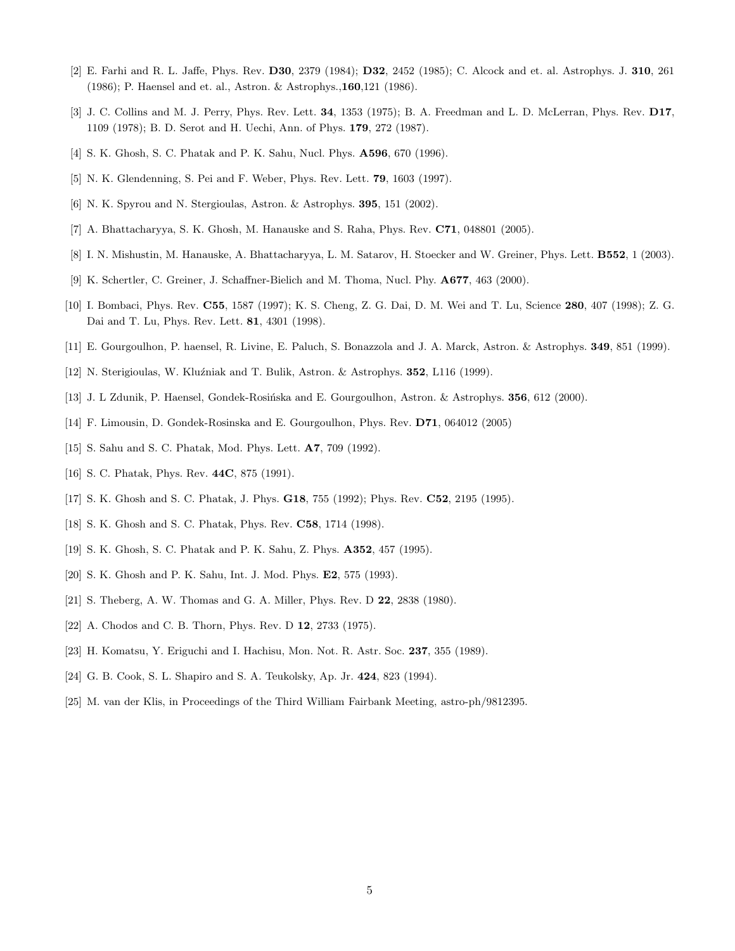- [2] E. Farhi and R. L. Jaffe, Phys. Rev. D30, 2379 (1984); D32, 2452 (1985); C. Alcock and et. al. Astrophys. J. 310, 261 (1986); P. Haensel and et. al., Astron. & Astrophys.,160,121 (1986).
- [3] J. C. Collins and M. J. Perry, Phys. Rev. Lett. 34, 1353 (1975); B. A. Freedman and L. D. McLerran, Phys. Rev. D17, 1109 (1978); B. D. Serot and H. Uechi, Ann. of Phys. 179, 272 (1987).
- [4] S. K. Ghosh, S. C. Phatak and P. K. Sahu, Nucl. Phys. A596, 670 (1996).
- [5] N. K. Glendenning, S. Pei and F. Weber, Phys. Rev. Lett. 79, 1603 (1997).
- [6] N. K. Spyrou and N. Stergioulas, Astron. & Astrophys. 395, 151 (2002).
- [7] A. Bhattacharyya, S. K. Ghosh, M. Hanauske and S. Raha, Phys. Rev. C71, 048801 (2005).
- [8] I. N. Mishustin, M. Hanauske, A. Bhattacharyya, L. M. Satarov, H. Stoecker and W. Greiner, Phys. Lett. B552, 1 (2003).
- [9] K. Schertler, C. Greiner, J. Schaffner-Bielich and M. Thoma, Nucl. Phy. A677, 463 (2000).
- [10] I. Bombaci, Phys. Rev. C55, 1587 (1997); K. S. Cheng, Z. G. Dai, D. M. Wei and T. Lu, Science 280, 407 (1998); Z. G. Dai and T. Lu, Phys. Rev. Lett. 81, 4301 (1998).
- [11] E. Gourgoulhon, P. haensel, R. Livine, E. Paluch, S. Bonazzola and J. A. Marck, Astron. & Astrophys. 349, 851 (1999).
- [12] N. Sterigioulas, W. Kluźniak and T. Bulik, Astron. & Astrophys. 352, L116 (1999).
- [13] J. L Zdunik, P. Haensel, Gondek-Rosińska and E. Gourgoulhon, Astron. & Astrophys. 356, 612 (2000).
- [14] F. Limousin, D. Gondek-Rosinska and E. Gourgoulhon, Phys. Rev. D71, 064012 (2005)
- [15] S. Sahu and S. C. Phatak, Mod. Phys. Lett. **A7**, 709 (1992).
- [16] S. C. Phatak, Phys. Rev. 44C, 875 (1991).
- [17] S. K. Ghosh and S. C. Phatak, J. Phys. G18, 755 (1992); Phys. Rev. C52, 2195 (1995).
- [18] S. K. Ghosh and S. C. Phatak, Phys. Rev. C58, 1714 (1998).
- [19] S. K. Ghosh, S. C. Phatak and P. K. Sahu, Z. Phys. A352, 457 (1995).
- [20] S. K. Ghosh and P. K. Sahu, Int. J. Mod. Phys. **E2**, 575 (1993).
- [21] S. Theberg, A. W. Thomas and G. A. Miller, Phys. Rev. D **22**, 2838 (1980).
- [22] A. Chodos and C. B. Thorn, Phys. Rev. D 12, 2733 (1975).
- [23] H. Komatsu, Y. Eriguchi and I. Hachisu, Mon. Not. R. Astr. Soc. 237, 355 (1989).
- [24] G. B. Cook, S. L. Shapiro and S. A. Teukolsky, Ap. Jr. 424, 823 (1994).
- [25] M. van der Klis, in Proceedings of the Third William Fairbank Meeting, astro-ph/9812395.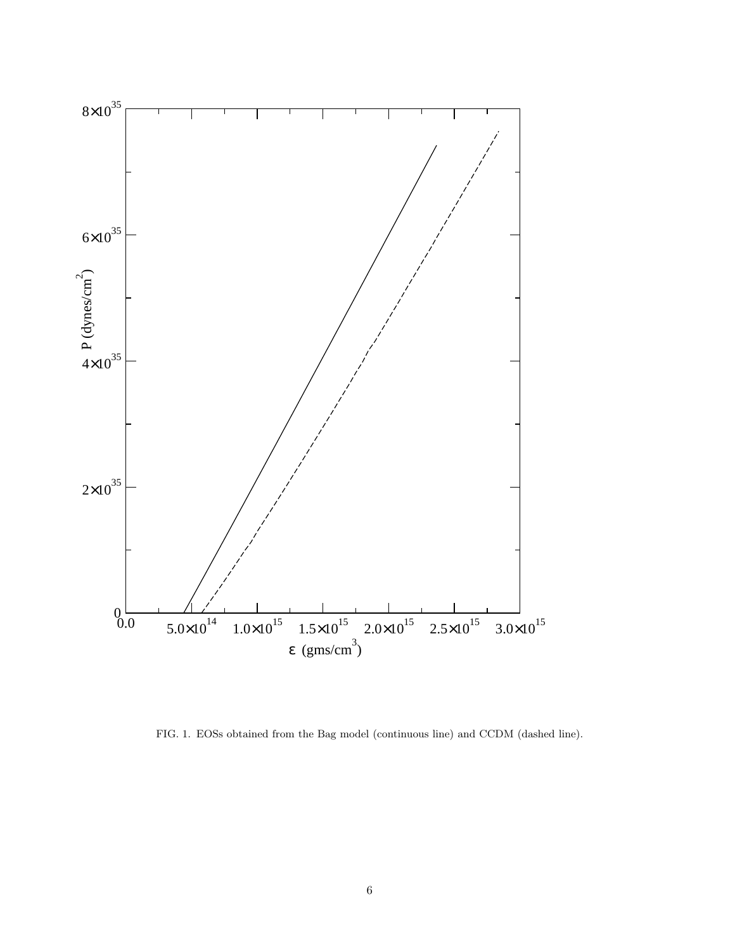

FIG. 1. EOSs obtained from the Bag model (continuous line) and CCDM (dashed line).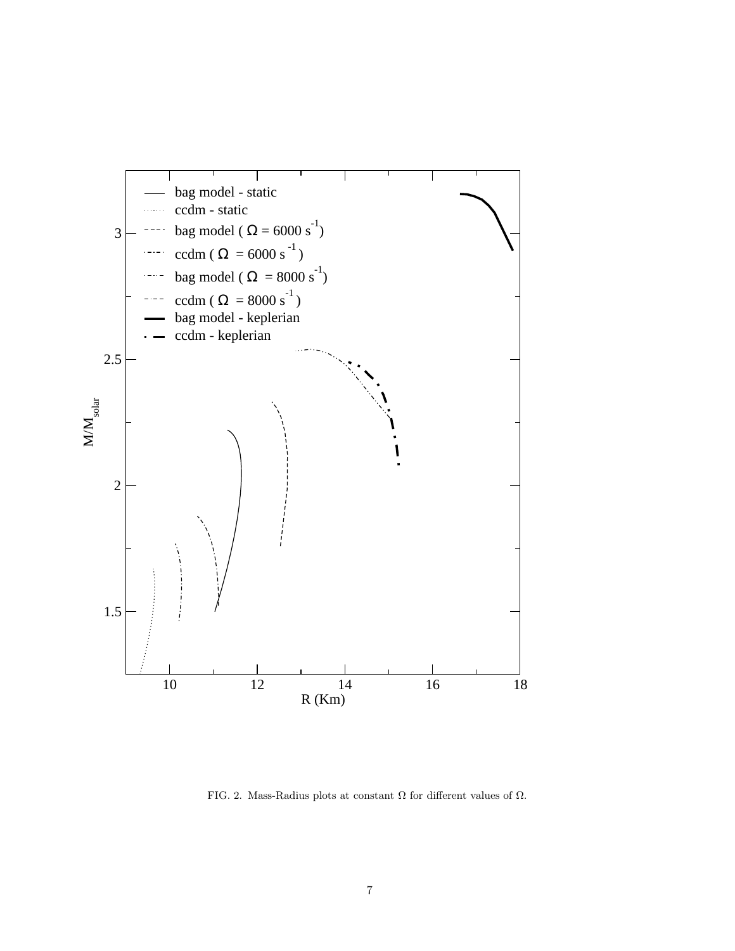

FIG. 2. Mass-Radius plots at constant  $\Omega$  for different values of  $\Omega.$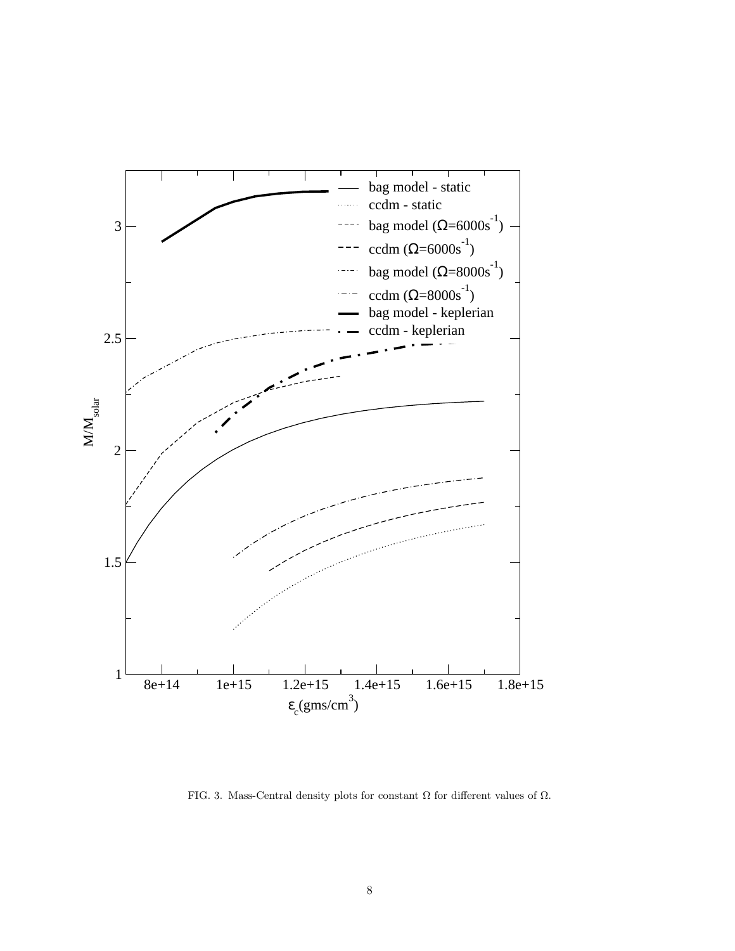

FIG. 3. Mass-Central density plots for constant  $\Omega$  for different values of  $\Omega.$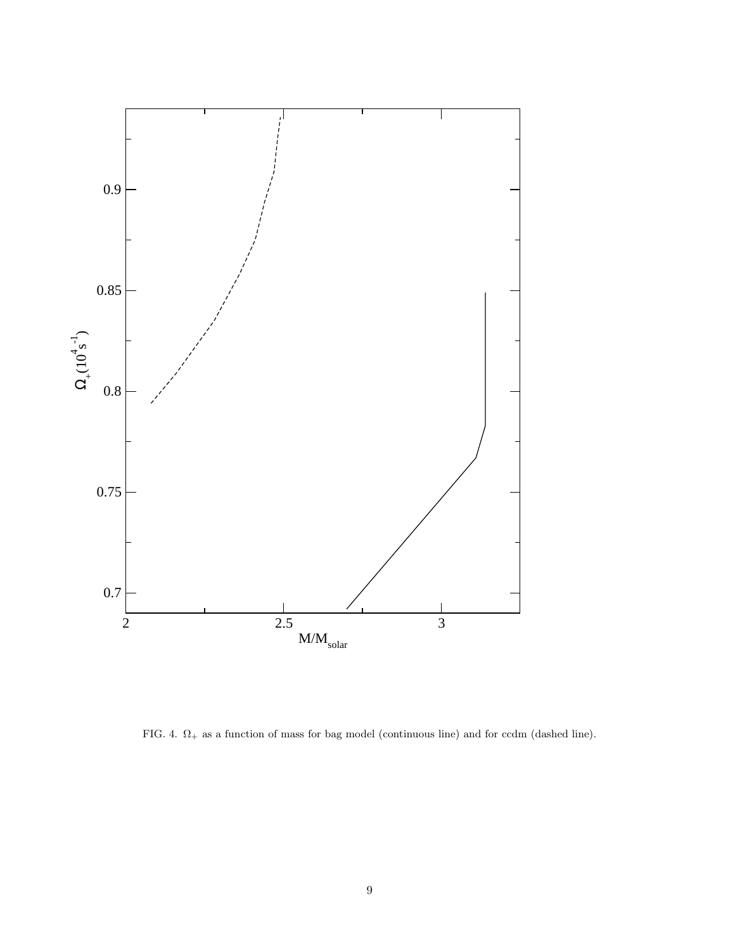

FIG. 4.  $\Omega_+$  as a function of mass for bag model (continuous line) and for ccdm (dashed line).